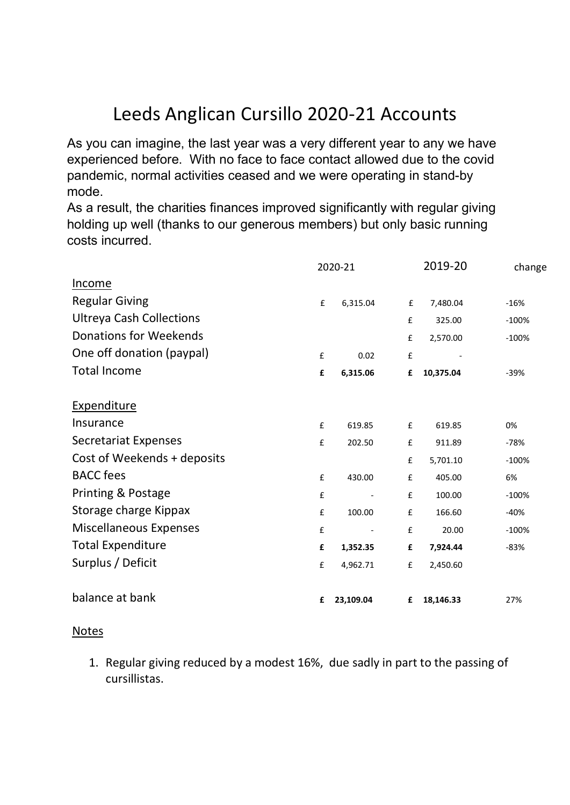## Leeds Anglican Cursillo 2020-21 Accounts

As you can imagine, the last year was a very different year to any we have experienced before. With no face to face contact allowed due to the covid pandemic, normal activities ceased and we were operating in stand-by mode.

As a result, the charities finances improved significantly with regular giving holding up well (thanks to our generous members) but only basic running costs incurred.

|                                 | 2020-21            |                          |   | 2019-20   | change  |
|---------------------------------|--------------------|--------------------------|---|-----------|---------|
| <u>Income</u>                   |                    |                          |   |           |         |
| <b>Regular Giving</b>           | £                  | 6,315.04                 | £ | 7,480.04  | $-16%$  |
| <b>Ultreya Cash Collections</b> |                    |                          | £ | 325.00    | $-100%$ |
| Donations for Weekends          |                    |                          | £ | 2,570.00  | $-100%$ |
| One off donation (paypal)       | £                  | 0.02                     | £ |           |         |
| <b>Total Income</b>             | £                  | 6,315.06                 | £ | 10,375.04 | $-39%$  |
| <b>Expenditure</b>              |                    |                          |   |           |         |
| Insurance                       | $\pmb{\mathsf{f}}$ | 619.85                   | £ | 619.85    | 0%      |
| <b>Secretariat Expenses</b>     | £                  | 202.50                   | £ | 911.89    | $-78%$  |
| Cost of Weekends + deposits     |                    |                          | £ | 5,701.10  | $-100%$ |
| <b>BACC</b> fees                | $\pmb{\mathsf{f}}$ | 430.00                   | £ | 405.00    | 6%      |
| <b>Printing &amp; Postage</b>   | $\pmb{\mathsf{f}}$ | $\overline{\phantom{a}}$ | £ | 100.00    | $-100%$ |
| Storage charge Kippax           | £                  | 100.00                   | £ | 166.60    | $-40%$  |
| Miscellaneous Expenses          | £                  | $\overline{\phantom{a}}$ | £ | 20.00     | $-100%$ |
| <b>Total Expenditure</b>        | £                  | 1,352.35                 | £ | 7,924.44  | $-83%$  |
| Surplus / Deficit               | £                  | 4,962.71                 | £ | 2,450.60  |         |
| balance at bank                 | £                  | 23,109.04                | £ | 18,146.33 | 27%     |

## Notes

1. Regular giving reduced by a modest 16%, due sadly in part to the passing of cursillistas.